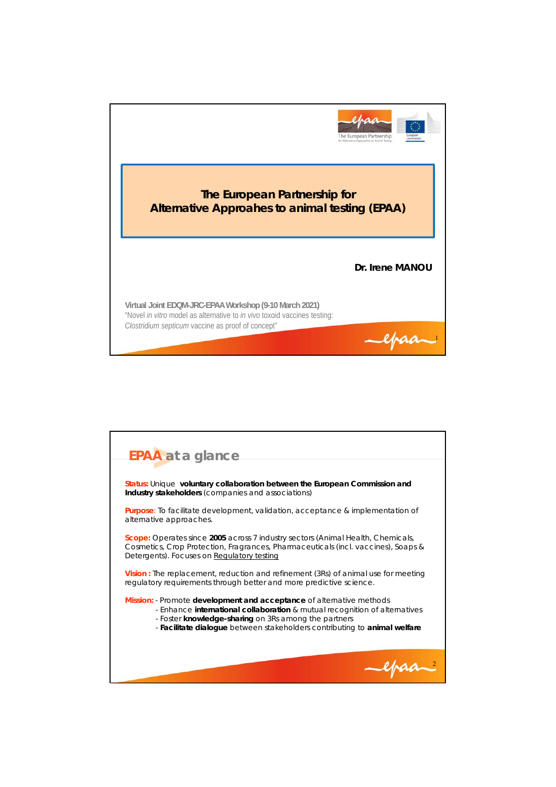

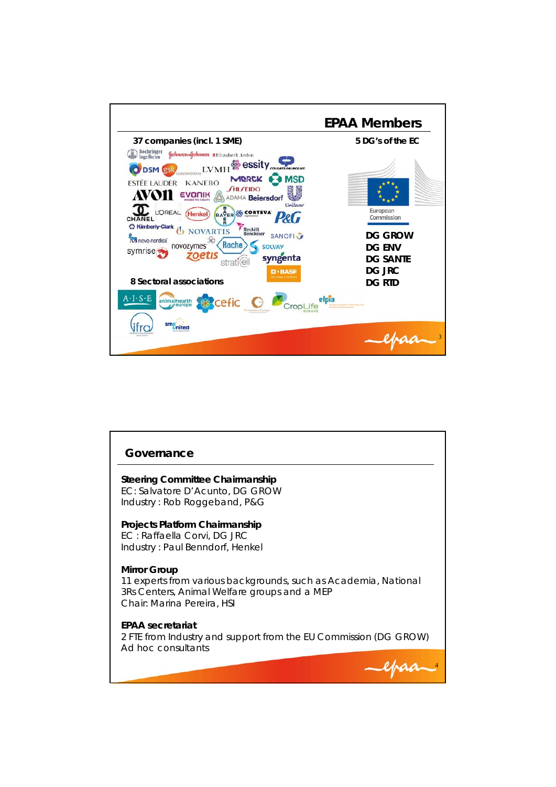

| Governance                                                                                                                                                    |
|---------------------------------------------------------------------------------------------------------------------------------------------------------------|
| Steering Committee Chairmanship<br>EC: Salvatore D'Acunto, DG GROW<br>Industry: Rob Roggeband, P&G                                                            |
| Projects Platform Chairmanship<br>EC: Raffaella Corvi, DG JRC<br>Industry: Paul Benndorf, Henkel                                                              |
| Mirror Group<br>11 experts from various backgrounds, such as Academia, National<br>3Rs Centers, Animal Welfare groups and a MEP<br>Chair: Marina Pereira, HSI |
| <b>EPAA</b> secretariat<br>2 FTE from Industry and support from the EU Commission (DG GROW)<br>Ad hoc consultants                                             |
|                                                                                                                                                               |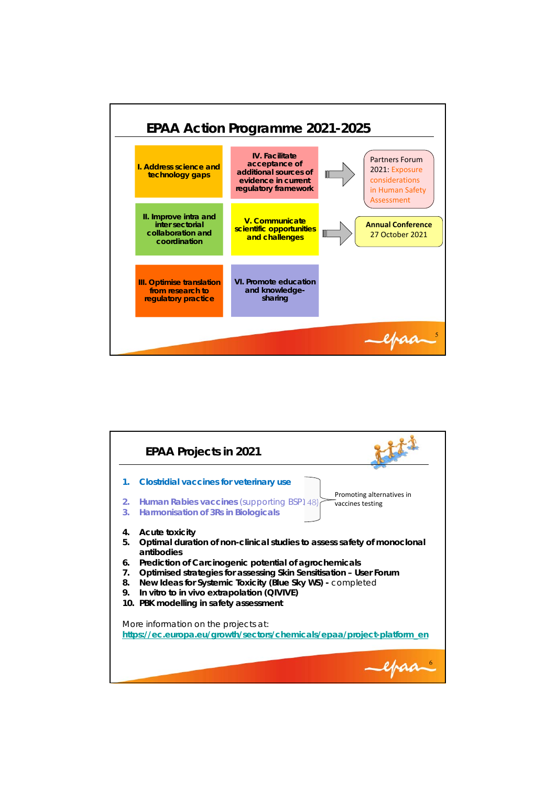

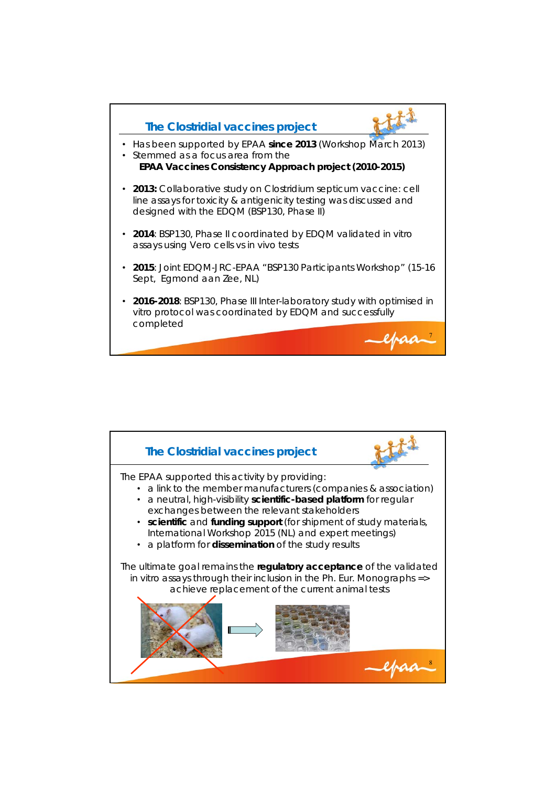

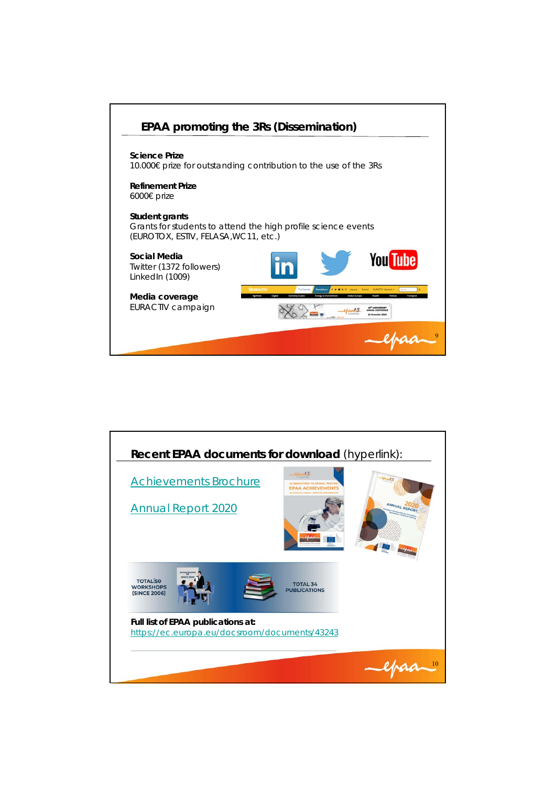